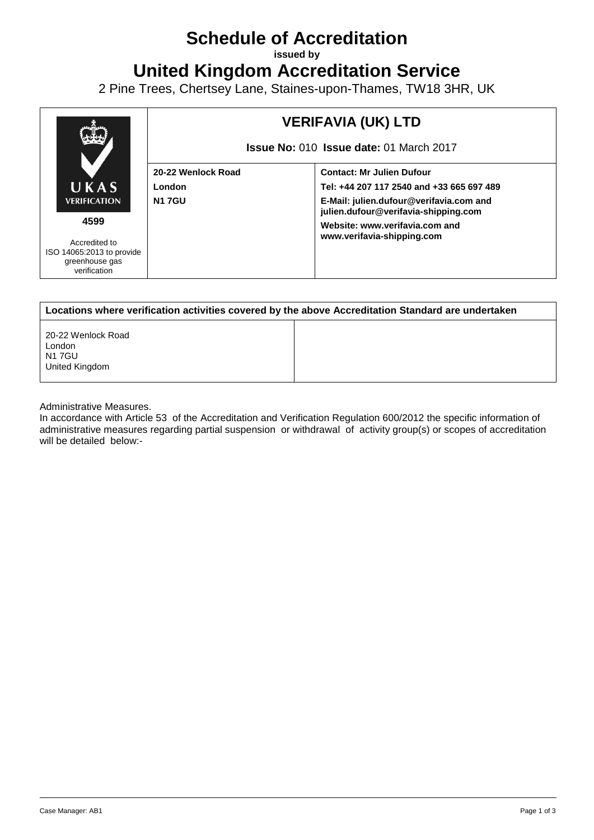## **Schedule of Accreditation**

**issued by**

**United Kingdom Accreditation Service**

2 Pine Trees, Chertsey Lane, Staines-upon-Thames, TW18 3HR, UK



| Locations where verification activities covered by the above Accreditation Standard are undertaken |  |  |  |
|----------------------------------------------------------------------------------------------------|--|--|--|
| 20-22 Wenlock Road<br>London<br>N1 7GU<br>United Kingdom                                           |  |  |  |

Administrative Measures.

In accordance with Article 53 of the Accreditation and Verification Regulation 600/2012 the specific information of administrative measures regarding partial suspension or withdrawal of activity group(s) or scopes of accreditation will be detailed below:-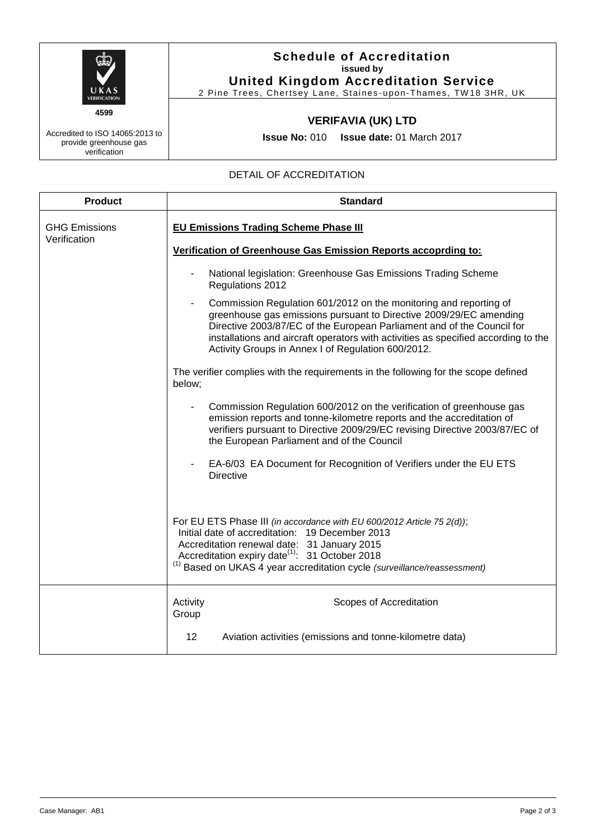

**Schedule of Accreditation issued by**

**United Kingdom Accreditation Service** 2 Pine Trees, Chertsey Lane, Staines-upon-Thames, TW18 3HR, UK

## **VERIFAVIA (UK) LTD**

**Issue No:** 010 **Issue date:** 01 March 2017

## DETAIL OF ACCREDITATION

| <b>Product</b>                       | <b>Standard</b>                                                                                                                                                                                                                                                                                                                                               |  |  |
|--------------------------------------|---------------------------------------------------------------------------------------------------------------------------------------------------------------------------------------------------------------------------------------------------------------------------------------------------------------------------------------------------------------|--|--|
| <b>GHG Emissions</b><br>Verification | <b>EU Emissions Trading Scheme Phase III</b>                                                                                                                                                                                                                                                                                                                  |  |  |
|                                      | Verification of Greenhouse Gas Emission Reports accoprding to:                                                                                                                                                                                                                                                                                                |  |  |
|                                      | National legislation: Greenhouse Gas Emissions Trading Scheme<br>Regulations 2012                                                                                                                                                                                                                                                                             |  |  |
|                                      | Commission Regulation 601/2012 on the monitoring and reporting of<br>greenhouse gas emissions pursuant to Directive 2009/29/EC amending<br>Directive 2003/87/EC of the European Parliament and of the Council for<br>installations and aircraft operators with activities as specified according to the<br>Activity Groups in Annex I of Regulation 600/2012. |  |  |
|                                      | The verifier complies with the requirements in the following for the scope defined<br>below;                                                                                                                                                                                                                                                                  |  |  |
|                                      | Commission Regulation 600/2012 on the verification of greenhouse gas<br>emission reports and tonne-kilometre reports and the accreditation of<br>verifiers pursuant to Directive 2009/29/EC revising Directive 2003/87/EC of<br>the European Parliament and of the Council                                                                                    |  |  |
|                                      | EA-6/03 EA Document for Recognition of Verifiers under the EU ETS<br><b>Directive</b>                                                                                                                                                                                                                                                                         |  |  |
|                                      | For EU ETS Phase III (in accordance with EU 600/2012 Article 75 2(d));<br>Initial date of accreditation: 19 December 2013<br>Accreditation renewal date: 31 January 2015<br>Accreditation expiry date <sup>(1)</sup> : 31 October 2018<br><sup>(1)</sup> Based on UKAS 4 year accreditation cycle (surveillance/reassessment)                                 |  |  |
|                                      | Scopes of Accreditation<br>Activity<br>Group                                                                                                                                                                                                                                                                                                                  |  |  |
|                                      | Aviation activities (emissions and tonne-kilometre data)<br>12                                                                                                                                                                                                                                                                                                |  |  |